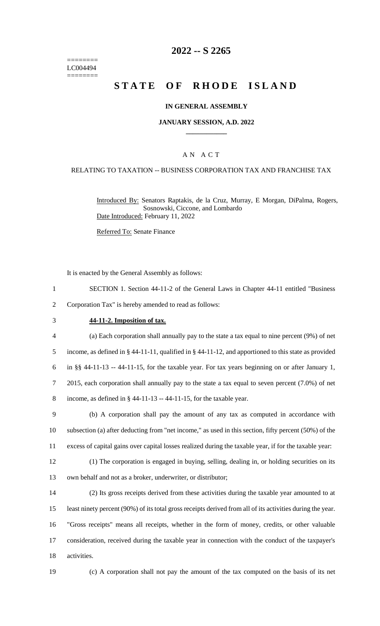======== LC004494 ========

# **2022 -- S 2265**

# **STATE OF RHODE ISLAND**

#### **IN GENERAL ASSEMBLY**

#### **JANUARY SESSION, A.D. 2022 \_\_\_\_\_\_\_\_\_\_\_\_**

### A N A C T

#### RELATING TO TAXATION -- BUSINESS CORPORATION TAX AND FRANCHISE TAX

Introduced By: Senators Raptakis, de la Cruz, Murray, E Morgan, DiPalma, Rogers, Sosnowski, Ciccone, and Lombardo Date Introduced: February 11, 2022

Referred To: Senate Finance

It is enacted by the General Assembly as follows:

- 1 SECTION 1. Section 44-11-2 of the General Laws in Chapter 44-11 entitled "Business
- 2 Corporation Tax" is hereby amended to read as follows:
- 

#### 3 **44-11-2. Imposition of tax.**

 (a) Each corporation shall annually pay to the state a tax equal to nine percent (9%) of net income, as defined in § 44-11-11, qualified in § 44-11-12, and apportioned to this state as provided in §§ 44-11-13 -- 44-11-15, for the taxable year. For tax years beginning on or after January 1, 2015, each corporation shall annually pay to the state a tax equal to seven percent (7.0%) of net 8 income, as defined in  $\S$  44-11-13 -- 44-11-15, for the taxable year.

9 (b) A corporation shall pay the amount of any tax as computed in accordance with 10 subsection (a) after deducting from "net income," as used in this section, fifty percent (50%) of the 11 excess of capital gains over capital losses realized during the taxable year, if for the taxable year:

12 (1) The corporation is engaged in buying, selling, dealing in, or holding securities on its 13 own behalf and not as a broker, underwriter, or distributor;

 (2) Its gross receipts derived from these activities during the taxable year amounted to at least ninety percent (90%) of its total gross receipts derived from all of its activities during the year. "Gross receipts" means all receipts, whether in the form of money, credits, or other valuable consideration, received during the taxable year in connection with the conduct of the taxpayer's activities.

19 (c) A corporation shall not pay the amount of the tax computed on the basis of its net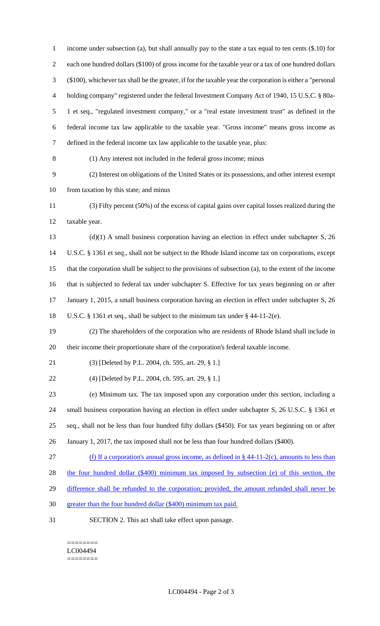income under subsection (a), but shall annually pay to the state a tax equal to ten cents (\$.10) for each one hundred dollars (\$100) of gross income for the taxable year or a tax of one hundred dollars (\$100), whichever tax shall be the greater, if for the taxable year the corporation is either a "personal holding company" registered under the federal Investment Company Act of 1940, 15 U.S.C. § 80a- 1 et seq., "regulated investment company," or a "real estate investment trust" as defined in the federal income tax law applicable to the taxable year. "Gross income" means gross income as defined in the federal income tax law applicable to the taxable year, plus: (1) Any interest not included in the federal gross income; minus (2) Interest on obligations of the United States or its possessions, and other interest exempt from taxation by this state; and minus (3) Fifty percent (50%) of the excess of capital gains over capital losses realized during the taxable year. (d)(1) A small business corporation having an election in effect under subchapter S, 26 U.S.C. § 1361 et seq., shall not be subject to the Rhode Island income tax on corporations, except that the corporation shall be subject to the provisions of subsection (a), to the extent of the income that is subjected to federal tax under subchapter S. Effective for tax years beginning on or after 17 January 1, 2015, a small business corporation having an election in effect under subchapter S, 26 U.S.C. § 1361 et seq., shall be subject to the minimum tax under § 44-11-2(e). (2) The shareholders of the corporation who are residents of Rhode Island shall include in their income their proportionate share of the corporation's federal taxable income. (3) [Deleted by P.L. 2004, ch. 595, art. 29, § 1.] (4) [Deleted by P.L. 2004, ch. 595, art. 29, § 1.] (e) Minimum tax. The tax imposed upon any corporation under this section, including a small business corporation having an election in effect under subchapter S, 26 U.S.C. § 1361 et seq., shall not be less than four hundred fifty dollars (\$450). For tax years beginning on or after January 1, 2017, the tax imposed shall not be less than four hundred dollars (\$400). (f) If a corporation's annual gross income, as defined in § 44-11-2(c), amounts to less than the four hundred dollar (\$400) minimum tax imposed by subsection (e) of this section, the 29 difference shall be refunded to the corporation; provided, the amount refunded shall never be greater than the four hundred dollar (\$400) minimum tax paid. SECTION 2. This act shall take effect upon passage.

======== LC004494 ========